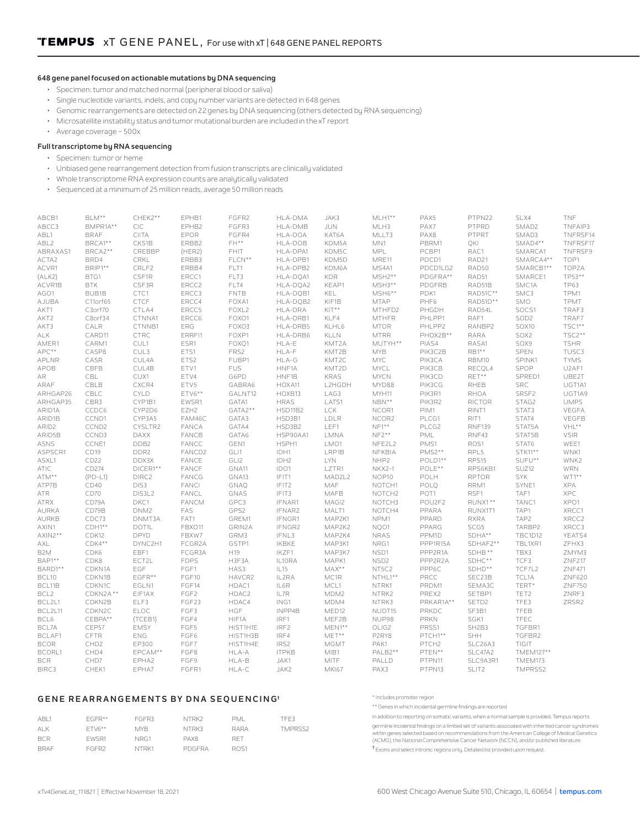## **648 gene panel focused on actionable mutations by DNA sequencing**

- Specimen: tumor and matched normal (peripheral blood or saliva)
- Single nucleotide variants, indels, and copy number variants are detected in 648 genes
- Genomic rearrangements are detected on 22 genes by DNA sequencing (others detected by RNA sequencing)
- Microsatellite instability status and tumor mutational burden are included in the xT report
- Average coverage ~ 500x

## **Full transcriptome by RNA sequencing**

- Specimen: tumor or heme
- Unbiased gene rearrangement detection from fusion transcripts are clinically validated
- Whole transcriptome RNA expression counts are analytically validated
- Sequenced at a minimum of 25 million reads, average 50 million reads

| ABCB1             | BLM**              | CHEK2**          | EPHB1            | FGFR2             | HLA-DMA      | JAK3         | $MLH1**$           | PAX5              | PTPN22                         | SLX4             | TNF           |
|-------------------|--------------------|------------------|------------------|-------------------|--------------|--------------|--------------------|-------------------|--------------------------------|------------------|---------------|
| ABCC3             | BMPR1A**           | CIC              | EPHB2            | FGFR3             | HLA-DMB      | <b>JUN</b>   | MLH3               | PAX7              | PTPRD                          | SMAD2            | TNFAIP3       |
| ABL1              | <b>BRAF</b>        | <b>CIITA</b>     | EPOR             | FGFR4             | HLA-DOA      | KAT6A        | MLLT3              | PAX8              | PTPRT                          | SMAD3            | TNFRSF14      |
| ABL2              | BRCA1**            | CKS1B            | ERBB2            | $FH**$            | HLA-DOB      | KDM5A        | MN1                | PBRM1             | QKI                            | SMAD4**          | TNFRSF17      |
| ABRAXAS1          | BRCA2**            | CREBBP           | (HER2)           | <b>FHIT</b>       | HLA-DPA1     | KDM5C        | MPL                | PCBP1             | RAC1                           | SMARCA1          | TNFRSF9       |
| ACTA2             | BRD4               | CRKL             | ERBB3            | FLCN**            | HLA-DPB1     | KDM5D        | MRE11              | PDCD1             | RAD21                          | SMARCA4**        | TOP1          |
| ACVR1             | BRIP1**            | CRLF2            | ERBB4            | FLT1              | HLA-DPB2     | KDM6A        | MS4A1              | PDCD1LG2          | RAD50                          | SMARCB1**        | TOP2A         |
| (ALK2)            | BTG1               | CSF1R            | ERCC1            | FLT3              | HLA-DOA1     | <b>KDR</b>   | $MSH2**$           | PDGFRA**          | RAD51                          | SMARCE1          | TP53**        |
|                   |                    | CSF3R            | ERCC2            | FLT4              | HLA-DOA2     | KEAP1        | $MSH3**$           | PDGFRB            | RAD51B                         | SMC1A            | <b>TP63</b>   |
| ACVR1B            | <b>BTK</b>         |                  |                  |                   |              |              |                    |                   |                                |                  |               |
| AGO1              | BUB1B              | CTC1             | ERCC3            | <b>FNTB</b>       | HLA-DOB1     | KEL          | $MSH6**$           | PDK1              | RAD51C**                       | SMC3             | TPM1          |
| AJUBA             | C11orf65           | CTCF             | ERCC4            | FOXA1             | HLA-DOB2     | KIF1B        | <b>MTAP</b>        | PHF6              | RAD51D**                       | SMO              | TPMT          |
| AKT1              | C3orf70            | CTLA4            | ERCC5            | FOXL <sub>2</sub> | HLA-DRA      | $KIT**$      | MTHFD2             | PHGDH             | RAD54L                         | SOCS1            | TRAF3         |
| AKT2              | C8orf34            | CTNNA1           | ERCC6            | FOXO1             | HLA-DRB1     | KLF4         | <b>MTHFR</b>       | PHLPP1            | RAF1                           | SOD <sub>2</sub> | TRAF7         |
| AKT3              | CALR               | CTNNB1           | ERG              | FOXO3             | HLA-DRB5     | KLHL6        | <b>MTOR</b>        | PHLPP2            | RANBP2                         | SOX10            | TSC1**        |
| ALK               | CARD11             | CTRC             | ERRFI1           | FOXP1             | HLA-DRB6     | KLLN         | <b>MTRR</b>        | PHOX2B**          | <b>RARA</b>                    | SOX2             | TSC2**        |
| AMER1             | CARM1              | CUL1             | ESR1             | FOXO1             | HLA-E        | KMT2A        | MUTYH**            | PIAS4             | RASA1                          | SOX9             | <b>TSHR</b>   |
| APC**             | CASP8              | CUL3             | ETS1             | FRS2              | HLA-F        | KMT2B        | <b>MYB</b>         | PIK3C2B           | RB1**                          | SPEN             | TUSC3         |
| APLNR             | CASR               | CUL4A            | ETS2             | FUBP1             | HLA-G        | KMT2C        | <b>MYC</b>         | PIK3CA            | RBM10                          | SPINK1           | <b>TYMS</b>   |
| APOB              | CBFB               | CUL4B            | ETV1             | <b>FUS</b>        | HNF1A        | KMT2D        | MYCL               | PIK3CB            | RECQL4                         | SPOP             | U2AF1         |
| AR                | CBL                | CUX1             | ETV4             | G6PD              | HNF1B        | <b>KRAS</b>  | <b>MYCN</b>        | PIK3CD            | RET**                          | SPRED1           | UBE2T         |
| ARAF              | CBLB               | CXCR4            | ETV5             | GABRA6            | HOXA11       | L2HGDH       | MYD88              | PIK3CG            | RHEB                           | SRC              | UGT1A1        |
| ARHGAP26          | CBLC               | <b>CYLD</b>      | $ETV6***$        | GALNT12           | HOXB13       | LAG3         | MYH11              | PIK3R1            | <b>RHOA</b>                    | SRSF2            | UGT1A9        |
|                   |                    |                  |                  |                   |              |              |                    |                   |                                |                  | <b>UMPS</b>   |
| ARHGAP35          | CBR3               | CYP1B1           | EWSR1            | GATA1             | <b>HRAS</b>  | LATS1        | $NBN**$            | PIK3R2            | <b>RICTOR</b>                  | STAG2            |               |
| ARID1A            | CCDC6              | CYP2D6           | EZH <sub>2</sub> | GATA2**           | HSD11B2      | <b>LCK</b>   | NCOR1              | PIM1              | RINT1                          | STAT3            | VEGFA         |
| ARID1B            | CCND1              | CYP3A5           | FAM46C           | GATA3             | HSD3B1       | LDLR         | NCOR2              | PLCG1             | RIT1                           | STAT4            | VEGFB         |
| ARID <sub>2</sub> | CCND <sub>2</sub>  | CYSLTR2          | FANCA            | GATA4             | HSD3B2       | LEF1         | $NF1**$            | PLCG2             | <b>RNF139</b>                  | STAT5A           | $VHL^{**}$    |
| ARID5B            | CCND3              | <b>DAXX</b>      | FANCB            | GATA6             | HSP90AA1     | LMNA         | $NF2***$           | PML               | RNF43                          | STAT5B           | <b>VSIR</b>   |
| ASNS              | CCNE1              | DDB2             | FANCC            | GEN1              | HSPH1        | LMO1         | NFE2L2             | PMS1              | ROS1                           | STAT6            | WEE1          |
| ASPSCR1           | CD19               | DDR <sub>2</sub> | FANCD2           | GLI1              | IDH1         | LRP1B        | NFKBIA             | $PMS2**$          | RPL5                           | STK11**          | WNK1          |
| ASXL1             | CD <sub>22</sub>   | DDX3X            | FANCE            | GLI2              | IDH2         | <b>LYN</b>   | NHP2               | POLD1**           | RPS15                          | SUFU**           | WNK2          |
| <b>ATIC</b>       | CD274              | DICER1**         | FANCF            | GNA11             | IDO1         | LZTR1        | <b>NKX2-1</b>      | POLE**            | RPS6KB1                        | SUZ12            | <b>WRN</b>    |
| ATM**             | $(PD-L1)$          | DIRC2            | FANCG            | GNA13             | IFIT1        | MAD2L2       | NOP10              | POLH              | <b>RPTOR</b>                   | <b>SYK</b>       | $WT1**$       |
| ATP7B             | CD40               | DIS3             | <b>FANCI</b>     | GNAO              | IFIT2        | MAF          | NOTCH1             | POLO              | RRM1                           | SYNE1            | <b>XPA</b>    |
| <b>ATR</b>        | CD70               | DIS3L2           | FANCL            | GNAS              | IFIT3        | MAFB         | NOTCH <sub>2</sub> | POT1              | RSF1                           | TAF1             | <b>XPC</b>    |
| <b>ATRX</b>       | CD79A              | DKC1             | <b>FANCM</b>     | GPC3              | IFNAR1       | MAGI2        | NOTCH3             | POU2F2            | RUNX1 **                       | TANC1            | XPO1          |
| AURKA             | CD79B              | DNM <sub>2</sub> | FAS              | GPS2              | IFNAR2       | MALT1        | NOTCH4             | PPARA             | RUNX1T1                        | TAP1             | XRCC1         |
| AURKB             | CDC73              | DNMT3A           | FAT1             | GREM1             | IFNGR1       | MAP2K1       | NPM1               | PPARD             | <b>RXRA</b>                    | TAP2             | XRCC2         |
|                   |                    |                  |                  |                   |              |              |                    |                   |                                |                  |               |
| AXIN1             | CDH1**             | DOT1L            | FBXO11           | GRIN2A            | IFNGR2       | MAP2K2       | NQ01               | PPARG             | SCG5                           | TARBP2           | XRCC3         |
| $AXIN2**$         | CDK12              | <b>DPYD</b>      | FBXW7            | GRM3              | IFNL3        | MAP2K4       | <b>NRAS</b>        | PPM <sub>1D</sub> | SDHA**                         | <b>TBC1D12</b>   | YEATS4        |
| AXL               | CDK4**             | DYNC2H1          | FCGR2A           | GSTP1             | <b>IKBKE</b> | MAP3K1       | NRG1               | PPP1R15A          | SDHAF2**                       | TBL1XR1          | ZFHX3         |
| B <sub>2</sub> M  | CDK6               | EBF1             | FCGR3A           | H19               | IKZF1        | MAP3K7       | NSD1               | PPP2R1A           | SDHB**                         | TBX3             | ZMYM3         |
| $BAP1**$          | CDK8               | ECT2L            | <b>FDPS</b>      | H3F3A             | IL10RA       | MAPK1        | NSD <sub>2</sub>   | PPP2R2A           | SDHC**                         | TCF3             | <b>ZNF217</b> |
| BARD1**           | CDKN1A             | EGF              | FGF1             | HAS3              | IL15         | $MAX**$      | NT5C2              | PPP6C             | SDHD**                         | TCF7L2           | ZNF471        |
| BCL10             | CDKN1B             | $EGFR***$        | FGF10            | HAVCR2            | IL2RA        | MC1R         | NTHL1**            | PRCC              | SEC23B                         | TCL1A            | <b>ZNF620</b> |
| BCL11B            | CDKN1C             | EGLN1            | FGF14            | HDAC1             | IL6R         | MCL1         | NTRK1              | PRDM1             | SEMA3C                         | TERT*            | <b>ZNF750</b> |
| BCL <sub>2</sub>  | CDKN2A**           | EIF1AX           | FGF <sub>2</sub> | HDAC2             | IL7R         | MDM2         | NTRK2              | PREX2             | SETBP1                         | TET2             | ZNRF3         |
| BCL2L1            | CDKN2B             | ELF3             | FGF23            | HDAC4             | ING1         | MDM4         | NTRK3              | PRKAR1A**         | SETD2                          | TFE3             | ZRSR2         |
| BCL2L11           | CDKN <sub>2C</sub> | ELOC             | FGF3             | HGF               | INPP4B       | MED12        | NUDT15             | PRKDC             | SF3B1                          | TFEB             |               |
| BCL6              | CEBPA**            | (TCEB1)          | FGF4             | HIF1A             | IRF1         | MEF2B        | NUP98              | <b>PRKN</b>       | SGK1                           | TFEC             |               |
| BCL7A             | CEP57              | <b>EMSY</b>      | FGF5             | HIST1H1E          | IRF2         | $MEN1**$     | OLIG2              | PRSS1             | SH <sub>2</sub> B <sub>3</sub> | TGFBR1           |               |
| BCLAF1            | CFTR               | ENG              | FGF6             | HIST1H3B          | IRF4         | $MET***$     |                    | PTCH1**           | <b>SHH</b>                     |                  |               |
|                   |                    |                  |                  |                   |              |              | P2RY8              |                   |                                | TGFBR2           |               |
| <b>BCOR</b>       | CHD <sub>2</sub>   | EP300            | FGF7             | HIST1H4E          | IRS2         | <b>MGMT</b>  | PAK1               | PTCH <sub>2</sub> | SLC26A3                        | TIGIT            |               |
| <b>BCORL1</b>     | CHD4               | EPCAM**          | FGF8             | HLA-A             | <b>ITPKB</b> | MIB1         | PALB2**            | PTEN**            | SLC47A2                        | TMEM127**        |               |
| <b>BCR</b>        | CHD7               | EPHA2            | FGF9             | HLA-B             | JAK1         | <b>MITE</b>  | PALLD              | PTPN11            | SLC9A3R1                       | TMEM173          |               |
| BIRC3             | CHEK1              | EPHA7            | FGFR1            | HLA-C             | JAK2         | <b>MKI67</b> | PAX3               | PTPN13            | SLIT2                          | TMPRSS2          |               |

## **GENE REARRANGEMENTS BY DNA SEQUENCING†**

\* Includes promoter region \*\* Genes in which incidental germline findings are reported

| FGFR**<br>FTV6**<br>EWSR1 | FGFR3<br>MYB.<br>NRG1 | NTRK2<br>NTRK3<br>PAX8 | PML<br>RARA<br>RE <sub>1</sub> | TFE3<br>TMPRSS2 | In addition to reporting on somatic variants, when a normal sample is provided, Tempus reports<br>germline incidental findings on a limited set of variants associated with inherited cancer sundromes<br>within genes selected based on recommendations from the American College of Medical Genetics<br>(ACMG), the National Comprehensive Cancer Network (NCCN), and/or published literature. |
|---------------------------|-----------------------|------------------------|--------------------------------|-----------------|--------------------------------------------------------------------------------------------------------------------------------------------------------------------------------------------------------------------------------------------------------------------------------------------------------------------------------------------------------------------------------------------------|
| FGFR <sub>2</sub>         | NTRK1                 | PDGFRA                 | ROS1                           |                 | <sup>T</sup> Exons and select intronic regions only. Detailed list provided upon request.                                                                                                                                                                                                                                                                                                        |

ABL1 ALK BCR BRAF